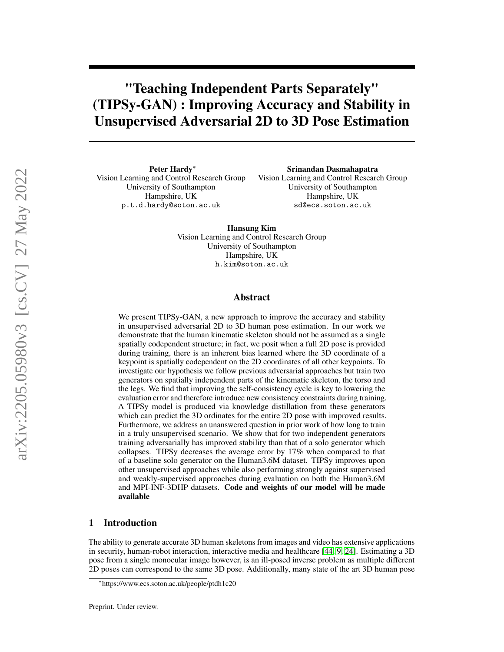# "Teaching Independent Parts Separately" (TIPSy-GAN) : Improving Accuracy and Stability in Unsupervised Adversarial 2D to 3D Pose Estimation

Peter Hardy<sup>∗</sup> Vision Learning and Control Research Group University of Southampton Hampshire, UK p.t.d.hardy@soton.ac.uk

Srinandan Dasmahapatra Vision Learning and Control Research Group University of Southampton Hampshire, UK sd@ecs.soton.ac.uk

Hansung Kim Vision Learning and Control Research Group University of Southampton Hampshire, UK

h.kim@soton.ac.uk

## Abstract

We present TIPSy-GAN, a new approach to improve the accuracy and stability in unsupervised adversarial 2D to 3D human pose estimation. In our work we demonstrate that the human kinematic skeleton should not be assumed as a single spatially codependent structure; in fact, we posit when a full 2D pose is provided during training, there is an inherent bias learned where the 3D coordinate of a keypoint is spatially codependent on the 2D coordinates of all other keypoints. To investigate our hypothesis we follow previous adversarial approaches but train two generators on spatially independent parts of the kinematic skeleton, the torso and the legs. We find that improving the self-consistency cycle is key to lowering the evaluation error and therefore introduce new consistency constraints during training. A TIPSy model is produced via knowledge distillation from these generators which can predict the 3D ordinates for the entire 2D pose with improved results. Furthermore, we address an unanswered question in prior work of how long to train in a truly unsupervised scenario. We show that for two independent generators training adversarially has improved stability than that of a solo generator which collapses. TIPSy decreases the average error by 17% when compared to that of a baseline solo generator on the Human3.6M dataset. TIPSy improves upon other unsupervised approaches while also performing strongly against supervised and weakly-supervised approaches during evaluation on both the Human3.6M and MPI-INF-3DHP datasets. Code and weights of our model will be made available

# 1 Introduction

The ability to generate accurate 3D human skeletons from images and video has extensive applications in security, human-robot interaction, interactive media and healthcare [\[44,](#page-13-0) [9,](#page-11-0) [24\]](#page-12-0). Estimating a 3D pose from a single monocular image however, is an ill-posed inverse problem as multiple different 2D poses can correspond to the same 3D pose. Additionally, many state of the art 3D human pose

<sup>∗</sup> https://www.ecs.soton.ac.uk/people/ptdh1c20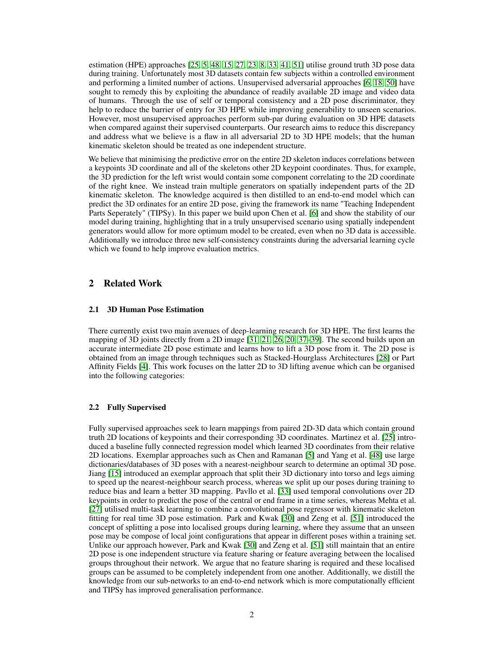estimation (HPE) approaches [\[25,](#page-12-1) [5,](#page-11-1) [48,](#page-14-0) [15,](#page-12-2) [27,](#page-12-3) [23,](#page-12-4) [8,](#page-11-2) [33,](#page-13-1) [41,](#page-13-2) [51\]](#page-14-1) utilise ground truth 3D pose data during training. Unfortunately most 3D datasets contain few subjects within a controlled environment and performing a limited number of actions. Unsupervised adversarial approaches [\[6,](#page-11-3) [18,](#page-12-5) [50\]](#page-14-2) have sought to remedy this by exploiting the abundance of readily available 2D image and video data of humans. Through the use of self or temporal consistency and a 2D pose discriminator, they help to reduce the barrier of entry for 3D HPE while improving generability to unseen scenarios. However, most unsupervised approaches perform sub-par during evaluation on 3D HPE datasets when compared against their supervised counterparts. Our research aims to reduce this discrepancy and address what we believe is a flaw in all adversarial 2D to 3D HPE models; that the human kinematic skeleton should be treated as one independent structure.

We believe that minimising the predictive error on the entire 2D skeleton induces correlations between a keypoints 3D coordinate and all of the skeletons other 2D keypoint coordinates. Thus, for example, the 3D prediction for the left wrist would contain some component correlating to the 2D coordinate of the right knee. We instead train multiple generators on spatially independent parts of the 2D kinematic skeleton. The knowledge acquired is then distilled to an end-to-end model which can predict the 3D ordinates for an entire 2D pose, giving the framework its name "Teaching Independent Parts Seperately" (TIPSy). In this paper we build upon Chen et al. [\[6\]](#page-11-3) and show the stability of our model during training, highlighting that in a truly unsupervised scenario using spatially independent generators would allow for more optimum model to be created, even when no 3D data is accessible. Additionally we introduce three new self-consistency constraints during the adversarial learning cycle which we found to help improve evaluation metrics.

# 2 Related Work

#### 2.1 3D Human Pose Estimation

There currently exist two main avenues of deep-learning research for 3D HPE. The first learns the mapping of 3D joints directly from a 2D image [\[31,](#page-13-3) [21,](#page-12-6) [26,](#page-12-7) [20,](#page-12-8) [37–](#page-13-4)[39\]](#page-13-5). The second builds upon an accurate intermediate 2D pose estimate and learns how to lift a 3D pose from it. The 2D pose is obtained from an image through techniques such as Stacked-Hourglass Architectures [\[28\]](#page-12-9) or Part Affinity Fields [\[4\]](#page-11-4). This work focuses on the latter 2D to 3D lifting avenue which can be organised into the following categories:

## 2.2 Fully Supervised

Fully supervised approaches seek to learn mappings from paired 2D-3D data which contain ground truth 2D locations of keypoints and their corresponding 3D coordinates. Martinez et al. [\[25\]](#page-12-1) introduced a baseline fully connected regression model which learned 3D coordinates from their relative 2D locations. Exemplar approaches such as Chen and Ramanan [\[5\]](#page-11-1) and Yang et al. [\[48\]](#page-14-0) use large dictionaries/databases of 3D poses with a nearest-neighbour search to determine an optimal 3D pose. Jiang [\[15\]](#page-12-2) introduced an exemplar approach that split their 3D dictionary into torso and legs aiming to speed up the nearest-neighbour search process, whereas we split up our poses during training to reduce bias and learn a better 3D mapping. Pavllo et al. [\[33\]](#page-13-1) used temporal convolutions over 2D keypoints in order to predict the pose of the central or end frame in a time series, whereas Mehta et al. [\[27\]](#page-12-3) utilised multi-task learning to combine a convolutional pose regressor with kinematic skeleton fitting for real time 3D pose estimation. Park and Kwak [\[30\]](#page-12-10) and Zeng et al. [\[51\]](#page-14-1) introduced the concept of splitting a pose into localised groups during learning, where they assume that an unseen pose may be compose of local joint configurations that appear in different poses within a training set. Unlike our approach however, Park and Kwak [\[30\]](#page-12-10) and Zeng et al. [\[51\]](#page-14-1) still maintain that an entire 2D pose is one independent structure via feature sharing or feature averaging between the localised groups throughout their network. We argue that no feature sharing is required and these localised groups can be assumed to be completely independent from one another. Additionally, we distill the knowledge from our sub-networks to an end-to-end network which is more computationally efficient and TIPSy has improved generalisation performance.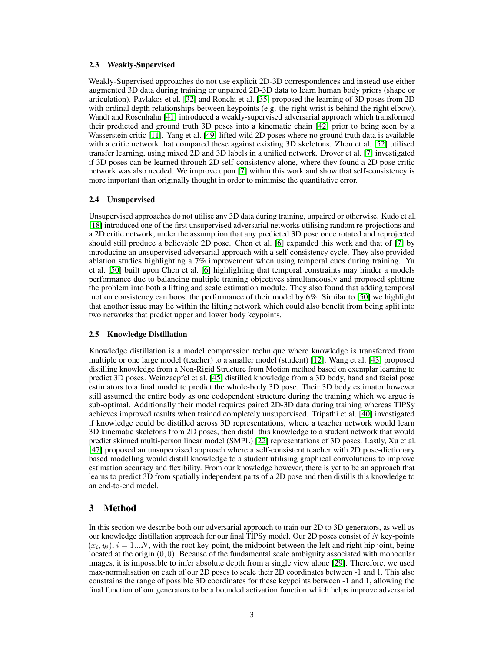#### 2.3 Weakly-Supervised

Weakly-Supervised approaches do not use explicit 2D-3D correspondences and instead use either augmented 3D data during training or unpaired 2D-3D data to learn human body priors (shape or articulation). Pavlakos et al. [\[32\]](#page-13-6) and Ronchi et al. [\[35\]](#page-13-7) proposed the learning of 3D poses from 2D with ordinal depth relationships between keypoints (e.g. the right wrist is behind the right elbow). Wandt and Rosenhahn [\[41\]](#page-13-2) introduced a weakly-supervised adversarial approach which transformed their predicted and ground truth 3D poses into a kinematic chain [\[42\]](#page-13-8) prior to being seen by a Wasserstein critic [\[11\]](#page-11-5). Yang et al. [\[49\]](#page-14-3) lifted wild 2D poses where no ground truth data is available with a critic network that compared these against existing 3D skeletons. Zhou et al. [\[52\]](#page-14-4) utilised transfer learning, using mixed 2D and 3D labels in a unified network. Drover et al. [\[7\]](#page-11-6) investigated if 3D poses can be learned through 2D self-consistency alone, where they found a 2D pose critic network was also needed. We improve upon [\[7\]](#page-11-6) within this work and show that self-consistency is more important than originally thought in order to minimise the quantitative error.

#### 2.4 Unsupervised

Unsupervised approaches do not utilise any 3D data during training, unpaired or otherwise. Kudo et al. [\[18\]](#page-12-5) introduced one of the first unsupervised adversarial networks utilising random re-projections and a 2D critic network, under the assumption that any predicted 3D pose once rotated and reprojected should still produce a believable 2D pose. Chen et al. [\[6\]](#page-11-3) expanded this work and that of [\[7\]](#page-11-6) by introducing an unsupervised adversarial approach with a self-consistency cycle. They also provided ablation studies highlighting a 7% improvement when using temporal cues during training. Yu et al. [\[50\]](#page-14-2) built upon Chen et al. [\[6\]](#page-11-3) highlighting that temporal constraints may hinder a models performance due to balancing multiple training objectives simultaneously and proposed splitting the problem into both a lifting and scale estimation module. They also found that adding temporal motion consistency can boost the performance of their model by 6%. Similar to [\[50\]](#page-14-2) we highlight that another issue may lie within the lifting network which could also benefit from being split into two networks that predict upper and lower body keypoints.

#### 2.5 Knowledge Distillation

Knowledge distillation is a model compression technique where knowledge is transferred from multiple or one large model (teacher) to a smaller model (student) [\[12\]](#page-11-7). Wang et al. [\[43\]](#page-13-9) proposed distilling knowledge from a Non-Rigid Structure from Motion method based on exemplar learning to predict 3D poses. Weinzaepfel et al. [\[45\]](#page-14-5) distilled knowledge from a 3D body, hand and facial pose estimators to a final model to predict the whole-body 3D pose. Their 3D body estimator however still assumed the entire body as one codependent structure during the training which we argue is sub-optimal. Additionally their model requires paired 2D-3D data during training whereas TIPSy achieves improved results when trained completely unsupervised. Tripathi et al. [\[40\]](#page-13-10) investigated if knowledge could be distilled across 3D representations, where a teacher network would learn 3D kinematic skeletons from 2D poses, then distill this knowledge to a student network that would predict skinned multi-person linear model (SMPL) [\[22\]](#page-12-11) representations of 3D poses. Lastly, Xu et al. [\[47\]](#page-14-6) proposed an unsupervised approach where a self-consistent teacher with 2D pose-dictionary based modelling would distill knowledge to a student utilising graphical convolutions to improve estimation accuracy and flexibility. From our knowledge however, there is yet to be an approach that learns to predict 3D from spatially independent parts of a 2D pose and then distills this knowledge to an end-to-end model.

## 3 Method

In this section we describe both our adversarial approach to train our 2D to 3D generators, as well as our knowledge distillation approach for our final TIPSy model. Our 2D poses consist of N key-points  $(x_i, y_i)$ ,  $i = 1...N$ , with the root key-point, the midpoint between the left and right hip joint, being located at the origin (0, 0). Because of the fundamental scale ambiguity associated with monocular images, it is impossible to infer absolute depth from a single view alone [\[29\]](#page-12-12). Therefore, we used max-normalisation on each of our 2D poses to scale their 2D coordinates between -1 and 1. This also constrains the range of possible 3D coordinates for these keypoints between -1 and 1, allowing the final function of our generators to be a bounded activation function which helps improve adversarial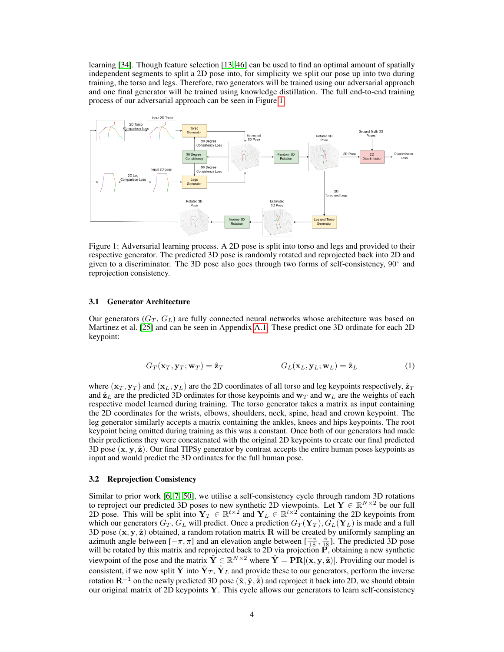learning [\[34\]](#page-13-11). Though feature selection [\[13,](#page-11-8) [46\]](#page-14-7) can be used to find an optimal amount of spatially independent segments to split a 2D pose into, for simplicity we split our pose up into two during training, the torso and legs. Therefore, two generators will be trained using our adversarial approach and one final generator will be trained using knowledge distillation. The full end-to-end training process of our adversarial approach can be seen in Figure [1.](#page-3-0)

<span id="page-3-0"></span>

Figure 1: Adversarial learning process. A 2D pose is split into torso and legs and provided to their respective generator. The predicted 3D pose is randomly rotated and reprojected back into 2D and given to a discriminator. The 3D pose also goes through two forms of self-consistency, 90° and reprojection consistency.

#### 3.1 Generator Architecture

Our generators  $(G_T, G_L)$  are fully connected neural networks whose architecture was based on Martinez et al. [\[25\]](#page-12-1) and can be seen in Appendix [A.1.](#page-15-0) These predict one 3D ordinate for each 2D keypoint:

$$
G_T(\mathbf{x}_T, \mathbf{y}_T; \mathbf{w}_T) = \hat{\mathbf{z}}_T \qquad G_L(\mathbf{x}_L, \mathbf{y}_L; \mathbf{w}_L) = \hat{\mathbf{z}}_L \tag{1}
$$

where  $(\mathbf{x}_T, \mathbf{y}_T)$  and  $(\mathbf{x}_L, \mathbf{y}_L)$  are the 2D coordinates of all torso and leg keypoints respectively,  $\hat{\mathbf{z}}_T$ and  $\hat{z}_L$  are the predicted 3D ordinates for those keypoints and  $w_T$  and  $w_L$  are the weights of each respective model learned during training. The torso generator takes a matrix as input containing the 2D coordinates for the wrists, elbows, shoulders, neck, spine, head and crown keypoint. The leg generator similarly accepts a matrix containing the ankles, knees and hips keypoints. The root keypoint being omitted during training as this was a constant. Once both of our generators had made their predictions they were concatenated with the original 2D keypoints to create our final predicted 3D pose  $(x, y, \hat{z})$ . Our final TIPSy generator by contrast accepts the entire human poses keypoints as input and would predict the 3D ordinates for the full human pose.

#### 3.2 Reprojection Consistency

Similar to prior work [\[6,](#page-11-3) [7,](#page-11-6) [50\]](#page-14-2), we utilise a self-consistency cycle through random 3D rotations to reproject our predicted 3D poses to new synthetic 2D viewpoints. Let  $Y \in \mathbb{R}^{N \times 2}$  be our full 2D pose. This will be split into  $Y_T \in \mathbb{R}^{t \times 2}$  and  $Y_L \in \mathbb{R}^{l \times 2}$  containing the 2D keypoints from which our generators  $G_T$ ,  $G_L$  will predict. Once a prediction  $G_T(\mathbf{Y}_T)$ ,  $G_L(\mathbf{Y}_L)$  is made and a full 3D pose  $(x, y, \hat{z})$  obtained, a random rotation matrix R will be created by uniformly sampling an azimuth angle between  $[-\pi, \pi]$  and an elevation angle between  $[\frac{-\pi}{18}, \frac{\pi}{18}]$ . The predicted 3D pose will be rotated by this matrix and reprojected back to 2D via projection  $\hat{P}$ , obtaining a new synthetic viewpoint of the pose and the matrix  $\tilde{Y} \in \mathbb{R}^{N \times 2}$  where  $\tilde{Y} = PR[(x, y, \hat{z})]$ . Providing our model is consistent, if we now split  $\tilde{\bf Y}$  into  $\tilde{\bf Y}_T$ ,  $\tilde{\bf Y}_L$  and provide these to our generators, perform the inverse rotation  $\mathbf{R}^{-1}$  on the newly predicted 3D pose  $(\tilde{\mathbf{x}}, \tilde{\mathbf{y}}, \tilde{\hat{\mathbf{z}}})$  and reproject it back into 2D, we should obtain our original matrix of 2D keypoints  $\overline{Y}$ . This cycle allows our generators to learn self-consistency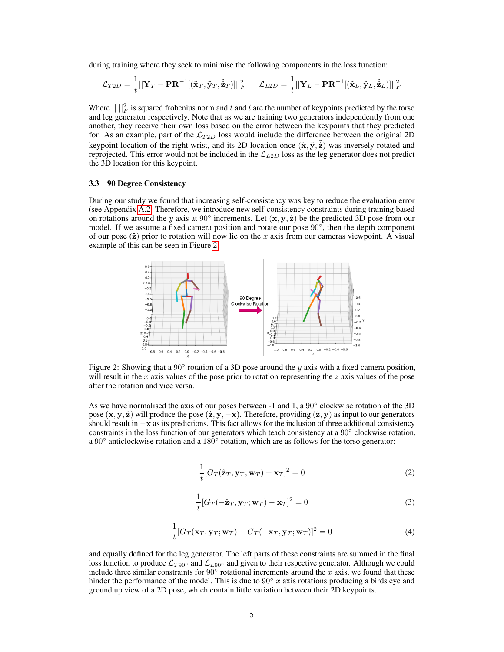during training where they seek to minimise the following components in the loss function:

$$
\mathcal{L}_{T2D} = \frac{1}{t} ||\mathbf{Y}_T - \mathbf{P} \mathbf{R}^{-1} [(\tilde{\mathbf{x}}_T, \tilde{\mathbf{y}}_T, \tilde{\hat{\mathbf{z}}}_T)]||_F^2 \quad \mathcal{L}_{L2D} = \frac{1}{l} ||\mathbf{Y}_L - \mathbf{P} \mathbf{R}^{-1} [(\tilde{\mathbf{x}}_L, \tilde{\mathbf{y}}_L, \tilde{\hat{\mathbf{z}}}_L)]||_F^2
$$

Where  $\lVert \cdot \rVert_F^2$  is squared frobenius norm and t and l are the number of keypoints predicted by the torso and leg generator respectively. Note that as we are training two generators independently from one another, they receive their own loss based on the error between the keypoints that they predicted for. As an example, part of the  $\mathcal{L}_{T2D}$  loss would include the difference between the original 2D keypoint location of the right wrist, and its 2D location once  $(\tilde{x}, \tilde{y}, \tilde{\hat{z}})$  was inversely rotated and reprojected. This error would not be included in the  $\mathcal{L}_{L2D}$  loss as the leg generator does not predict the 3D location for this keypoint.

# 3.3 90 Degree Consistency

During our study we found that increasing self-consistency was key to reduce the evaluation error (see Appendix [A.2.](#page-15-1) Therefore, we introduce new self-consistency constraints during training based on rotations around the y axis at 90 $\degree$  increments. Let  $(x, y, \hat{z})$  be the predicted 3D pose from our model. If we assume a fixed camera position and rotate our pose  $90^\circ$ , then the depth component of our pose  $(\hat{z})$  prior to rotation will now lie on the x axis from our cameras viewpoint. A visual example of this can be seen in Figure [2.](#page-4-0)

<span id="page-4-0"></span>

Figure 2: Showing that a  $90^\circ$  rotation of a 3D pose around the y axis with a fixed camera position, will result in the x axis values of the pose prior to rotation representing the  $z$  axis values of the pose after the rotation and vice versa.

As we have normalised the axis of our poses between -1 and 1, a 90° clockwise rotation of the 3D pose  $(x, y, \hat{z})$  will produce the pose  $(\hat{z}, y, -x)$ . Therefore, providing  $(\hat{z}, y)$  as input to our generators should result in −x as its predictions. This fact allows for the inclusion of three additional consistency constraints in the loss function of our generators which teach consistency at a 90° clockwise rotation, a 90 $\degree$  anticlockwise rotation and a 180 $\degree$  rotation, which are as follows for the torso generator:

$$
\frac{1}{t}[G_T(\hat{\mathbf{z}}_T, \mathbf{y}_T; \mathbf{w}_T) + \mathbf{x}_T]^2 = 0
$$
\n(2)

$$
\frac{1}{t}[G_T(-\hat{\mathbf{z}}_T, \mathbf{y}_T; \mathbf{w}_T) - \mathbf{x}_T]^2 = 0
$$
\n(3)

$$
\frac{1}{t}[G_T(\mathbf{x}_T, \mathbf{y}_T; \mathbf{w}_T) + G_T(-\mathbf{x}_T, \mathbf{y}_T; \mathbf{w}_T)]^2 = 0
$$
\n(4)

and equally defined for the leg generator. The left parts of these constraints are summed in the final loss function to produce  $\mathcal{L}_{T90}$ ° and  $\mathcal{L}_{L90}$ ° and given to their respective generator. Although we could include three similar constraints for  $90^\circ$  rotational increments around the x axis, we found that these hinder the performance of the model. This is due to  $90° x$  axis rotations producing a birds eye and ground up view of a 2D pose, which contain little variation between their 2D keypoints.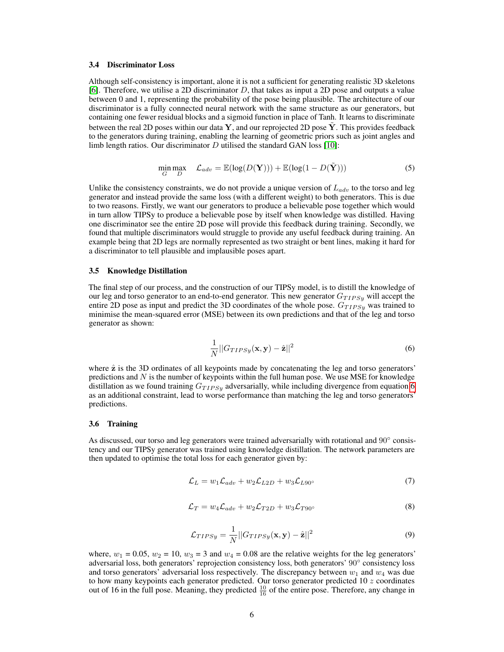#### 3.4 Discriminator Loss

Although self-consistency is important, alone it is not a sufficient for generating realistic 3D skeletons [\[6\]](#page-11-3). Therefore, we utilise a 2D discriminator  $D$ , that takes as input a 2D pose and outputs a value between 0 and 1, representing the probability of the pose being plausible. The architecture of our discriminator is a fully connected neural network with the same structure as our generators, but containing one fewer residual blocks and a sigmoid function in place of Tanh. It learns to discriminate between the real 2D poses within our data  $\mathbf{Y}$ , and our reprojected 2D pose  $\mathbf{Y}$ . This provides feedback to the generators during training, enabling the learning of geometric priors such as joint angles and limb length ratios. Our discriminator  $D$  utilised the standard GAN loss [\[10\]](#page-11-9):

$$
\min_{G} \max_{D} \quad \mathcal{L}_{adv} = \mathbb{E}(\log(D(\mathbf{Y}))) + \mathbb{E}(\log(1 - D(\tilde{\mathbf{Y}}))) \tag{5}
$$

Unlike the consistency constraints, we do not provide a unique version of  $L_{adv}$  to the torso and leg generator and instead provide the same loss (with a different weight) to both generators. This is due to two reasons. Firstly, we want our generators to produce a believable pose together which would in turn allow TIPSy to produce a believable pose by itself when knowledge was distilled. Having one discriminator see the entire 2D pose will provide this feedback during training. Secondly, we found that multiple discriminators would struggle to provide any useful feedback during training. An example being that 2D legs are normally represented as two straight or bent lines, making it hard for a discriminator to tell plausible and implausible poses apart.

#### 3.5 Knowledge Distillation

The final step of our process, and the construction of our TIPSy model, is to distill the knowledge of our leg and torso generator to an end-to-end generator. This new generator  $G_{TIPS y}$  will accept the entire 2D pose as input and predict the 3D coordinates of the whole pose.  $G_{TIPSy}$  was trained to minimise the mean-squared error (MSE) between its own predictions and that of the leg and torso generator as shown:

<span id="page-5-0"></span>
$$
\frac{1}{N}||G_{TIPSy}(\mathbf{x}, \mathbf{y}) - \hat{\mathbf{z}}||^2
$$
\n(6)

where  $\hat{z}$  is the 3D ordinates of all keypoints made by concatenating the leg and torso generators' predictions and  $N$  is the number of keypoints within the full human pose. We use MSE for knowledge distillation as we found training  $G_{TIPS y}$  adversarially, while including divergence from equation [6](#page-5-0) as an additional constraint, lead to worse performance than matching the leg and torso generators' predictions.

#### 3.6 Training

As discussed, our torso and leg generators were trained adversarially with rotational and 90° consistency and our TIPSy generator was trained using knowledge distillation. The network parameters are then updated to optimise the total loss for each generator given by:

$$
\mathcal{L}_L = w_1 \mathcal{L}_{adv} + w_2 \mathcal{L}_{L2D} + w_3 \mathcal{L}_{L90^\circ}
$$
\n<sup>(7)</sup>

$$
\mathcal{L}_T = w_4 \mathcal{L}_{adv} + w_2 \mathcal{L}_{T2D} + w_3 \mathcal{L}_{T90^\circ}
$$
\n
$$
\tag{8}
$$

$$
\mathcal{L}_{TIPSy} = \frac{1}{N} ||G_{TIPSy}(\mathbf{x}, \mathbf{y}) - \hat{\mathbf{z}}||^2
$$
\n(9)

where,  $w_1 = 0.05$ ,  $w_2 = 10$ ,  $w_3 = 3$  and  $w_4 = 0.08$  are the relative weights for the leg generators' adversarial loss, both generators' reprojection consistency loss, both generators' 90◦ consistency loss and torso generators' adversarial loss respectively. The discrepancy between  $w_1$  and  $w_4$  was due to how many keypoints each generator predicted. Our torso generator predicted  $10 z$  coordinates out of 16 in the full pose. Meaning, they predicted  $\frac{10}{16}$  of the entire pose. Therefore, any change in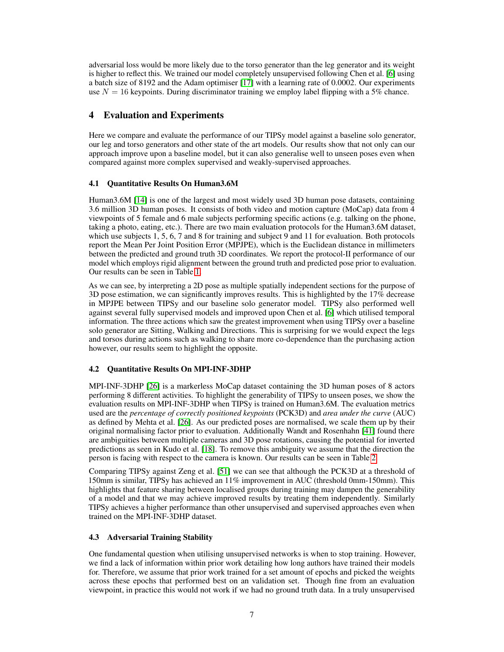adversarial loss would be more likely due to the torso generator than the leg generator and its weight is higher to reflect this. We trained our model completely unsupervised following Chen et al. [\[6\]](#page-11-3) using a batch size of 8192 and the Adam optimiser [\[17\]](#page-12-13) with a learning rate of 0.0002. Our experiments use  $N = 16$  keypoints. During discriminator training we employ label flipping with a 5% chance.

# 4 Evaluation and Experiments

Here we compare and evaluate the performance of our TIPSy model against a baseline solo generator, our leg and torso generators and other state of the art models. Our results show that not only can our approach improve upon a baseline model, but it can also generalise well to unseen poses even when compared against more complex supervised and weakly-supervised approaches.

# 4.1 Quantitative Results On Human3.6M

Human3.6M [\[14\]](#page-11-10) is one of the largest and most widely used 3D human pose datasets, containing 3.6 million 3D human poses. It consists of both video and motion capture (MoCap) data from 4 viewpoints of 5 female and 6 male subjects performing specific actions (e.g. talking on the phone, taking a photo, eating, etc.). There are two main evaluation protocols for the Human3.6M dataset, which use subjects 1, 5, 6, 7 and 8 for training and subject 9 and 11 for evaluation. Both protocols report the Mean Per Joint Position Error (MPJPE), which is the Euclidean distance in millimeters between the predicted and ground truth 3D coordinates. We report the protocol-II performance of our model which employs rigid alignment between the ground truth and predicted pose prior to evaluation. Our results can be seen in Table [1.](#page-7-0)

As we can see, by interpreting a 2D pose as multiple spatially independent sections for the purpose of 3D pose estimation, we can significantly improves results. This is highlighted by the 17% decrease in MPJPE between TIPSy and our baseline solo generator model. TIPSy also performed well against several fully supervised models and improved upon Chen et al. [\[6\]](#page-11-3) which utilised temporal information. The three actions which saw the greatest improvement when using TIPSy over a baseline solo generator are Sitting, Walking and Directions. This is surprising for we would expect the legs and torsos during actions such as walking to share more co-dependence than the purchasing action however, our results seem to highlight the opposite.

# 4.2 Quantitative Results On MPI-INF-3DHP

MPI-INF-3DHP [\[26\]](#page-12-7) is a markerless MoCap dataset containing the 3D human poses of 8 actors performing 8 different activities. To highlight the generability of TIPSy to unseen poses, we show the evaluation results on MPI-INF-3DHP when TIPSy is trained on Human3.6M. The evaluation metrics used are the *percentage of correctly positioned keypoints* (PCK3D) and *area under the curve* (AUC) as defined by Mehta et al. [\[26\]](#page-12-7). As our predicted poses are normalised, we scale them up by their original normalising factor prior to evaluation. Additionally Wandt and Rosenhahn [\[41\]](#page-13-2) found there are ambiguities between multiple cameras and 3D pose rotations, causing the potential for inverted predictions as seen in Kudo et al. [\[18\]](#page-12-5). To remove this ambiguity we assume that the direction the person is facing with respect to the camera is known. Our results can be seen in Table [2.](#page-7-1)

Comparing TIPSy against Zeng et al. [\[51\]](#page-14-1) we can see that although the PCK3D at a threshold of 150mm is similar, TIPSy has achieved an 11% improvement in AUC (threshold 0mm-150mm). This highlights that feature sharing between localised groups during training may dampen the generability of a model and that we may achieve improved results by treating them independently. Similarly TIPSy achieves a higher performance than other unsupervised and supervised approaches even when trained on the MPI-INF-3DHP dataset.

# 4.3 Adversarial Training Stability

One fundamental question when utilising unsupervised networks is when to stop training. However, we find a lack of information within prior work detailing how long authors have trained their models for. Therefore, we assume that prior work trained for a set amount of epochs and picked the weights across these epochs that performed best on an validation set. Though fine from an evaluation viewpoint, in practice this would not work if we had no ground truth data. In a truly unsupervised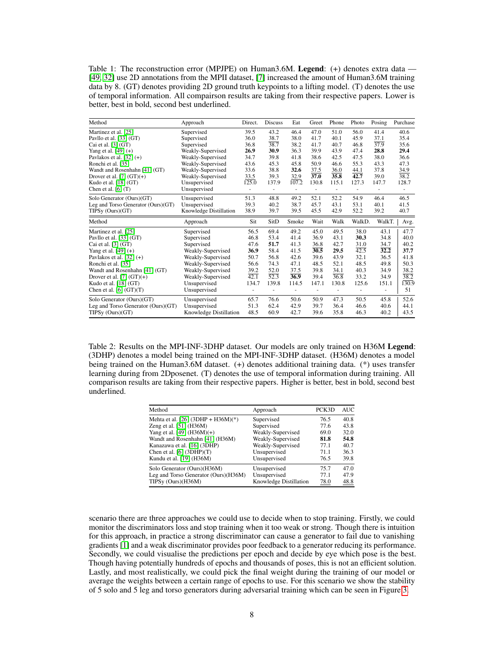<span id="page-7-0"></span>Table 1: The reconstruction error (MPJPE) on Human3.6M. Legend: (+) denotes extra data — [\[49,](#page-14-3) [32\]](#page-13-6) use 2D annotations from the MPII dataset, [\[7\]](#page-11-6) increased the amount of Human3.6M training data by 8. (GT) denotes providing 2D ground truth keypoints to a lifting model. (T) denotes the use of temporal information. All compairson results are taking from their respective papers. Lower is better, best in bold, second best underlined.

| Method                             | Approach               | Direct.                  | <b>Discuss</b>    | Eat   | Greet             | Phone                    | Photo  | Posing | Purchase |
|------------------------------------|------------------------|--------------------------|-------------------|-------|-------------------|--------------------------|--------|--------|----------|
| Martinez et al. [25]               | Supervised             | 39.5                     | 43.2              | 46.4  | 47.0              | 51.0                     | 56.0   | 41.4   | 40.6     |
| Pavllo et al. [33] (GT)            | Supervised             | 36.0                     | 38.7              | 38.0  | 41.7              | 40.1                     | 45.9   | 37.1   | 35.4     |
| Cai et al. $[3]$ (GT)              | Supervised             | 36.8                     | 38.7              | 38.2  | 41.7              | 40.7                     | 46.8   | 37.9   | 35.6     |
| Yang et al. $[49] (+)$             | Weakly-Supervised      | 26.9                     | 30.9              | 36.3  | 39.9              | 43.9                     | 47.4   | 28.8   | 29.4     |
| Pavlakos et al. $[32] (+)$         | Weakly-Supervised      | 34.7                     | 39.8              | 41.8  | 38.6              | 42.5                     | 47.5   | 38.0   | 36.6     |
| Ronchi et al. [35]                 | Weakly-Supervised      | 43.6                     | 45.3              | 45.8  | 50.9              | 46.6                     | 55.3   | 43.3   | 47.3     |
| Wandt and Rosenhahn [41] (GT)      | Weakly-Supervised      | 33.6                     | 38.8              | 32.6  | 37.5              | 36.0                     | 44.1   | 37.8   | 34.9     |
| Drover et al. $[7]$ $(GT)(+)$      | Weakly-Supervised      | 33.5                     | 39.3              | 32.9  | $\overline{37.0}$ | 35.8                     | 42.7   | 39.0   | 38.2     |
| Kudo et al. $[18]$ (GT)            | Unsupervised           | 125.0                    | 137.9             | 107.2 | 130.8             | 115.1                    | 127.3  | 147.7  | 128.7    |
| Chen et al. $[6]$ $(T)$            | Unsupervised           | $\overline{\phantom{m}}$ | ۰                 | ÷,    | ÷,                | $\overline{\phantom{0}}$ | ٠      | Ξ.     |          |
| Solo Generator (Ours)(GT)          | Unsupervised           | 51.3                     | 48.8              | 49.2  | 52.1              | 52.2                     | 54.9   | 46.4   | 46.5     |
| Leg and Torso Generator (Ours)(GT) | Unsupervised           | 39.3                     | 40.2              | 38.7  | 45.7              | 43.1                     | 53.1   | 40.1   | 41.5     |
| TIPSy (Ours)(GT)                   | Knowledge Distillation | 38.9                     | 39.7              | 39.5  | 45.5              | 42.9                     | 52.2   | 39.2   | 40.7     |
| Method                             | Approach               | Sit                      | SitD              | Smoke | Wait              | Walk                     | WalkD. | WalkT. | Avg.     |
| Martinez et al. [25]               | Supervised             | 56.5                     | 69.4              | 49.2  | 45.0              | 49.5                     | 38.0   | 43.1   | 47.7     |
| Pavllo et al. [33] (GT)            | Supervised             | 46.8                     | 53.4              | 41.4  | 36.9              | 43.1                     | 30.3   | 34.8   | 40.0     |
| Cai et al. $[3]$ (GT)              | Supervised             | 47.6                     | 51.7              | 41.3  | 36.8              | 42.7                     | 31.0   | 34.7   | 40.2     |
| Yang et al. $[49] (+)$             | Weakly-Supervised      | 36.9                     | 58.4              | 41.5  | 30.5              | 29.5                     | 42.5   | 32.2   | 37.7     |
| Pavlakos et al. $[32] (+)$         | Weakly-Supervised      | 50.7                     | 56.8              | 42.6  | 39.6              | 43.9                     | 32.1   | 36.5   | 41.8     |
| Ronchi et al. [35]                 | Weakly-Supervised      | 56.6                     | 74.3              | 47.1  | 48.5              | 52.1                     | 48.5   | 49.8   | 50.3     |
| Wandt and Rosenhahn [41] (GT)      | Weakly-Supervised      | 39.2                     | 52.0              | 37.5  | 39.8              | 34.1                     | 40.3   | 34.9   | 38.2     |
| Drover et al. $[7]$ (GT)(+)        | Weakly-Supervised      | 42.1                     | $\overline{52.3}$ | 36.9  | 39.4              | 36.8                     | 33.2   | 34.9   | 38.2     |
| Kudo et al. $[18]$ (GT)            | Unsupervised           | 134.7                    | 139.8             | 114.5 | 147.1             | 130.8                    | 125.6  | 151.1  | 130.9    |
| Chen et al. $[6]$ $(GT)(T)$        | Unsupervised           |                          |                   |       |                   |                          |        |        | 51       |
| Solo Generator (Ours)(GT)          | Unsupervised           | 65.7                     | 76.6              | 50.6  | 50.9              | 47.3                     | 50.5   | 45.8   | 52.6     |
| Leg and Torso Generator (Ours)(GT) | Unsupervised           | 51.3                     | 62.4              | 42.9  | 39.7              | 36.4                     | 46.6   | 40.6   | 44.1     |
| TIPSy (Ours)(GT)                   | Knowledge Distillation | 48.5                     | 60.9              | 42.7  | 39.6              | 35.8                     | 46.3   | 40.2   | 43.5     |

<span id="page-7-1"></span>Table 2: Results on the MPI-INF-3DHP dataset. Our models are only trained on H36M Legend: (3DHP) denotes a model being trained on the MPI-INF-3DHP dataset. (H36M) denotes a model being trained on the Human3.6M dataset. (+) denotes additional training data. (\*) uses transfer learning during from 2Dposenet. (T) denotes the use of temporal information during training. All comparison results are taking from their respective papers. Higher is better, best in bold, second best underlined.

| Method                               | Approach               | PCK3D | AUC                |
|--------------------------------------|------------------------|-------|--------------------|
| Mehta et al. [26] (3DHP + H36M)(*)   | Supervised             | 76.5  | 40.8               |
| Zeng et al. [51] (H36M)              | Supervised             | 77.6  | 43.8               |
| Yang et al. [49] $(H36M)(+)$         | Weakly-Supervised      | 69.0  | 32.0               |
| Wandt and Rosenhahn [41] (H36M)      | Weakly-Supervised      | 81.8  | 54.8               |
| Kanazawa et al. [16] (3DHP)          | Weakly-Supervised      | 77.1  | 40.7               |
| Chen et al. $[6]$ (3DHP) $(T)$       | Unsupervised           | 71.1  | 36.3               |
| Kundu et al. [19] (H36M)             | Unsupervised           | 76.5  | 39.8               |
| Solo Generator (Ours)(H36M)          | Unsupervised           | 75.7  | 47.0               |
| Leg and Torso Generator (Ours)(H36M) | Unsupervised           | 77.1  | 47.9               |
| TIPSy (Ours)(H36M)                   | Knowledge Distillation | 78.0  | $\underline{48.8}$ |

scenario there are three approaches we could use to decide when to stop training. Firstly, we could monitor the discriminators loss and stop training when it too weak or strong. Though there is intuition for this approach, in practice a strong discriminator can cause a generator to fail due to vanishing gradients [\[1\]](#page-11-12) and a weak discriminator provides poor feedback to a generator reducing its performance. Secondly, we could visualise the predictions per epoch and decide by eye which pose is the best. Though having potentially hundreds of epochs and thousands of poses, this is not an efficient solution. Lastly, and most realistically, we could pick the final weight during the training of our model or average the weights between a certain range of epochs to use. For this scenario we show the stability of 5 solo and 5 leg and torso generators during adversarial training which can be seen in Figure [3.](#page-8-0)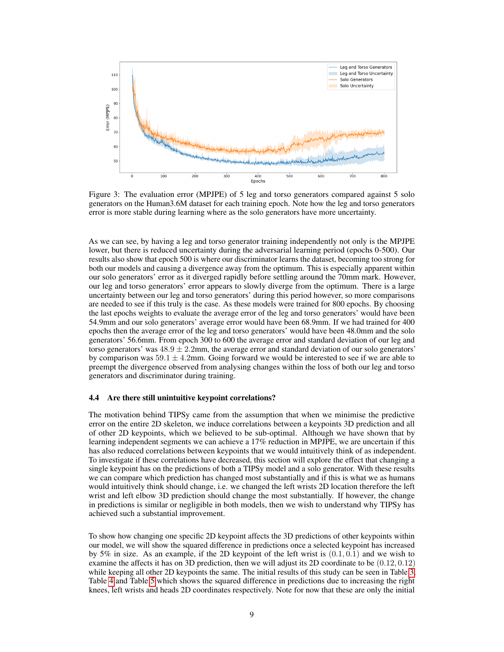<span id="page-8-0"></span>

Figure 3: The evaluation error (MPJPE) of 5 leg and torso generators compared against 5 solo generators on the Human3.6M dataset for each training epoch. Note how the leg and torso generators error is more stable during learning where as the solo generators have more uncertainty.

As we can see, by having a leg and torso generator training independently not only is the MPJPE lower, but there is reduced uncertainty during the adversarial learning period (epochs 0-500). Our results also show that epoch 500 is where our discriminator learns the dataset, becoming too strong for both our models and causing a divergence away from the optimum. This is especially apparent within our solo generators' error as it diverged rapidly before settling around the 70mm mark. However, our leg and torso generators' error appears to slowly diverge from the optimum. There is a large uncertainty between our leg and torso generators' during this period however, so more comparisons are needed to see if this truly is the case. As these models were trained for 800 epochs. By choosing the last epochs weights to evaluate the average error of the leg and torso generators' would have been 54.9mm and our solo generators' average error would have been 68.9mm. If we had trained for 400 epochs then the average error of the leg and torso generators' would have been 48.0mm and the solo generators' 56.6mm. From epoch 300 to 600 the average error and standard deviation of our leg and torso generators' was  $48.9 \pm 2.2$ mm, the average error and standard deviation of our solo generators' by comparison was  $59.1 \pm 4.2$ mm. Going forward we would be interested to see if we are able to preempt the divergence observed from analysing changes within the loss of both our leg and torso generators and discriminator during training.

#### 4.4 Are there still unintuitive keypoint correlations?

The motivation behind TIPSy came from the assumption that when we minimise the predictive error on the entire 2D skeleton, we induce correlations between a keypoints 3D prediction and all of other 2D keypoints, which we believed to be sub-optimal. Although we have shown that by learning independent segments we can achieve a 17% reduction in MPJPE, we are uncertain if this has also reduced correlations between keypoints that we would intuitively think of as independent. To investigate if these correlations have decreased, this section will explore the effect that changing a single keypoint has on the predictions of both a TIPSy model and a solo generator. With these results we can compare which prediction has changed most substantially and if this is what we as humans would intuitively think should change, i.e. we changed the left wrists 2D location therefore the left wrist and left elbow 3D prediction should change the most substantially. If however, the change in predictions is similar or negligible in both models, then we wish to understand why TIPSy has achieved such a substantial improvement.

To show how changing one specific 2D keypoint affects the 3D predictions of other keypoints within our model, we will show the squared difference in predictions once a selected keypoint has increased by 5% in size. As an example, if the 2D keypoint of the left wrist is  $(0.1, 0.1)$  and we wish to examine the affects it has on 3D prediction, then we will adjust its 2D coordinate to be (0.12, 0.12) while keeping all other 2D keypoints the same. The initial results of this study can be seen in Table [3,](#page-9-0) Table [4](#page-10-0) and Table [5](#page-10-1) which shows the squared difference in predictions due to increasing the right knees, left wrists and heads 2D coordinates respectively. Note for now that these are only the initial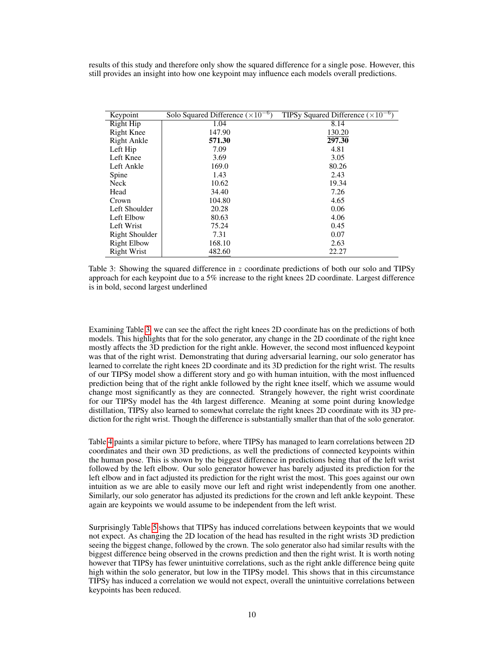results of this study and therefore only show the squared difference for a single pose. However, this still provides an insight into how one keypoint may influence each models overall predictions.

<span id="page-9-0"></span>

| Keypoint           | Solo Squared Difference $(\times 10^{-6})$ | TIPSy Squared Difference $(\times 10^{-6})$ |
|--------------------|--------------------------------------------|---------------------------------------------|
| Right Hip          | 1.04                                       | 8.14                                        |
| Right Knee         | 147.90                                     | 130.20                                      |
| Right Ankle        | 571.30                                     | 297.30                                      |
| Left Hip           | 7.09                                       | 4.81                                        |
| Left Knee          | 3.69                                       | 3.05                                        |
| Left Ankle         | 169.0                                      | 80.26                                       |
| Spine              | 1.43                                       | 2.43                                        |
| Neck               | 10.62                                      | 19.34                                       |
| Head               | 34.40                                      | 7.26                                        |
| Crown              | 104.80                                     | 4.65                                        |
| Left Shoulder      | 20.28                                      | 0.06                                        |
| Left Elbow         | 80.63                                      | 4.06                                        |
| Left Wrist         | 75.24                                      | 0.45                                        |
| Right Shoulder     | 7.31                                       | 0.07                                        |
| <b>Right Elbow</b> | 168.10                                     | 2.63                                        |
| <b>Right Wrist</b> | 482.60                                     | 22.27                                       |

Table 3: Showing the squared difference in z coordinate predictions of both our solo and TIPSy approach for each keypoint due to a 5% increase to the right knees 2D coordinate. Largest difference is in bold, second largest underlined

Examining Table [3,](#page-9-0) we can see the affect the right knees 2D coordinate has on the predictions of both models. This highlights that for the solo generator, any change in the 2D coordinate of the right knee mostly affects the 3D prediction for the right ankle. However, the second most influenced keypoint was that of the right wrist. Demonstrating that during adversarial learning, our solo generator has learned to correlate the right knees 2D coordinate and its 3D prediction for the right wrist. The results of our TIPSy model show a different story and go with human intuition, with the most influenced prediction being that of the right ankle followed by the right knee itself, which we assume would change most significantly as they are connected. Strangely however, the right wrist coordinate for our TIPSy model has the 4th largest difference. Meaning at some point during knowledge distillation, TIPSy also learned to somewhat correlate the right knees 2D coordinate with its 3D prediction for the right wrist. Though the difference is substantially smaller than that of the solo generator.

Table [4](#page-10-0) paints a similar picture to before, where TIPSy has managed to learn correlations between 2D coordinates and their own 3D predictions, as well the predictions of connected keypoints within the human pose. This is shown by the biggest difference in predictions being that of the left wrist followed by the left elbow. Our solo generator however has barely adjusted its prediction for the left elbow and in fact adjusted its prediction for the right wrist the most. This goes against our own intuition as we are able to easily move our left and right wrist independently from one another. Similarly, our solo generator has adjusted its predictions for the crown and left ankle keypoint. These again are keypoints we would assume to be independent from the left wrist.

Surprisingly Table [5](#page-10-1) shows that TIPSy has induced correlations between keypoints that we would not expect. As changing the 2D location of the head has resulted in the right wrists 3D prediction seeing the biggest change, followed by the crown. The solo generator also had similar results with the biggest difference being observed in the crowns prediction and then the right wrist. It is worth noting however that TIPSy has fewer unintuitive correlations, such as the right ankle difference being quite high within the solo generator, but low in the TIPSy model. This shows that in this circumstance TIPSy has induced a correlation we would not expect, overall the unintuitive correlations between keypoints has been reduced.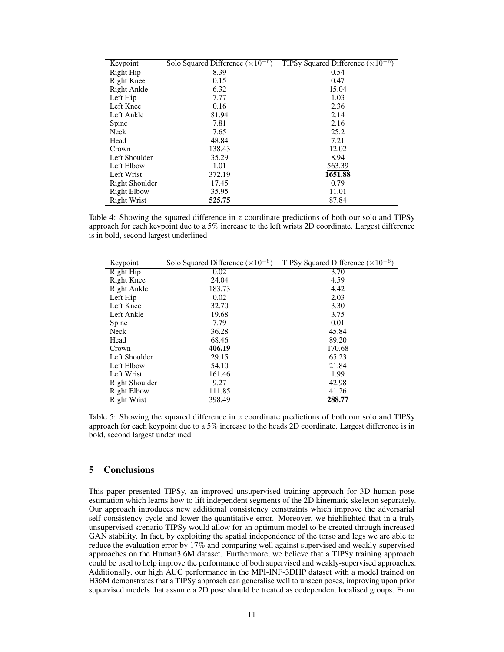<span id="page-10-0"></span>

| Keypoint           | Solo Squared Difference $(\times 10^{-6})$ | TIPSy Squared Difference ( $\times 10^{-6}$ ) |
|--------------------|--------------------------------------------|-----------------------------------------------|
| Right Hip          | 8.39                                       | 0.54                                          |
| Right Knee         | 0.15                                       | 0.47                                          |
| Right Ankle        | 6.32                                       | 15.04                                         |
| Left Hip           | 7.77                                       | 1.03                                          |
| Left Knee          | 0.16                                       | 2.36                                          |
| Left Ankle         | 81.94                                      | 2.14                                          |
| Spine              | 7.81                                       | 2.16                                          |
| Neck               | 7.65                                       | 25.2                                          |
| Head               | 48.84                                      | 7.21                                          |
| Crown              | 138.43                                     | 12.02                                         |
| Left Shoulder      | 35.29                                      | 8.94                                          |
| Left Elbow         | 1.01                                       | 563.39                                        |
| Left Wrist         | 372.19                                     | 1651.88                                       |
| Right Shoulder     | 17.45                                      | 0.79                                          |
| <b>Right Elbow</b> | 35.95                                      | 11.01                                         |
| <b>Right Wrist</b> | 525.75                                     | 87.84                                         |

Table 4: Showing the squared difference in  $z$  coordinate predictions of both our solo and TIPSy approach for each keypoint due to a 5% increase to the left wrists 2D coordinate. Largest difference is in bold, second largest underlined

<span id="page-10-1"></span>

| Keypoint           | Solo Squared Difference $(\times 10^{-6})$ | TIPSy Squared Difference $(\times 10^{-6})$ |
|--------------------|--------------------------------------------|---------------------------------------------|
| Right Hip          | 0.02                                       | 3.70                                        |
| <b>Right Knee</b>  | 24.04                                      | 4.59                                        |
| Right Ankle        | 183.73                                     | 4.42                                        |
| Left Hip           | 0.02                                       | 2.03                                        |
| Left Knee          | 32.70                                      | 3.30                                        |
| Left Ankle         | 19.68                                      | 3.75                                        |
| Spine              | 7.79                                       | 0.01                                        |
| Neck               | 36.28                                      | 45.84                                       |
| Head               | 68.46                                      | 89.20                                       |
| Crown              | 406.19                                     | 170.68                                      |
| Left Shoulder      | 29.15                                      | 65.23                                       |
| Left Elbow         | 54.10                                      | 21.84                                       |
| Left Wrist         | 161.46                                     | 1.99                                        |
| Right Shoulder     | 9.27                                       | 42.98                                       |
| <b>Right Elbow</b> | 111.85                                     | 41.26                                       |
| <b>Right Wrist</b> | 398.49                                     | 288.77                                      |

Table 5: Showing the squared difference in z coordinate predictions of both our solo and TIPSy approach for each keypoint due to a 5% increase to the heads 2D coordinate. Largest difference is in bold, second largest underlined

# 5 Conclusions

This paper presented TIPSy, an improved unsupervised training approach for 3D human pose estimation which learns how to lift independent segments of the 2D kinematic skeleton separately. Our approach introduces new additional consistency constraints which improve the adversarial self-consistency cycle and lower the quantitative error. Moreover, we highlighted that in a truly unsupervised scenario TIPSy would allow for an optimum model to be created through increased GAN stability. In fact, by exploiting the spatial independence of the torso and legs we are able to reduce the evaluation error by 17% and comparing well against supervised and weakly-supervised approaches on the Human3.6M dataset. Furthermore, we believe that a TIPSy training approach could be used to help improve the performance of both supervised and weakly-supervised approaches. Additionally, our high AUC performance in the MPI-INF-3DHP dataset with a model trained on H36M demonstrates that a TIPSy approach can generalise well to unseen poses, improving upon prior supervised models that assume a 2D pose should be treated as codependent localised groups. From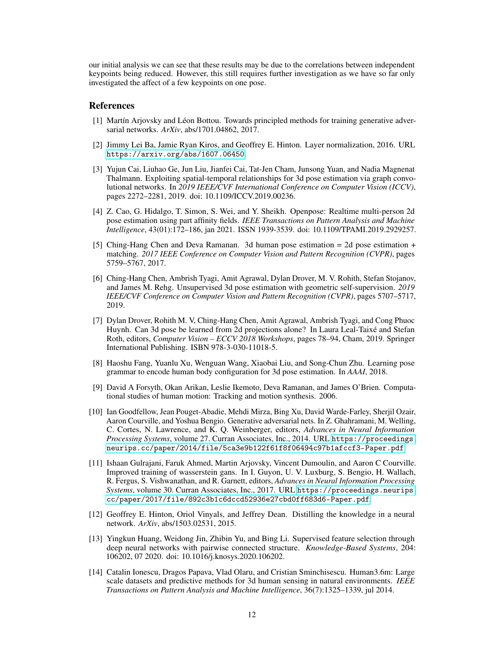our initial analysis we can see that these results may be due to the correlations between independent keypoints being reduced. However, this still requires further investigation as we have so far only investigated the affect of a few keypoints on one pose.

## References

- <span id="page-11-12"></span>[1] Martín Arjovsky and Léon Bottou. Towards principled methods for training generative adversarial networks. *ArXiv*, abs/1701.04862, 2017.
- <span id="page-11-13"></span>[2] Jimmy Lei Ba, Jamie Ryan Kiros, and Geoffrey E. Hinton. Layer normalization, 2016. URL <https://arxiv.org/abs/1607.06450>.
- <span id="page-11-11"></span>[3] Yujun Cai, Liuhao Ge, Jun Liu, Jianfei Cai, Tat-Jen Cham, Junsong Yuan, and Nadia Magnenat Thalmann. Exploiting spatial-temporal relationships for 3d pose estimation via graph convolutional networks. In *2019 IEEE/CVF International Conference on Computer Vision (ICCV)*, pages 2272–2281, 2019. doi: 10.1109/ICCV.2019.00236.
- <span id="page-11-4"></span>[4] Z. Cao, G. Hidalgo, T. Simon, S. Wei, and Y. Sheikh. Openpose: Realtime multi-person 2d pose estimation using part affinity fields. *IEEE Transactions on Pattern Analysis and Machine Intelligence*, 43(01):172–186, jan 2021. ISSN 1939-3539. doi: 10.1109/TPAMI.2019.2929257.
- <span id="page-11-1"></span>[5] Ching-Hang Chen and Deva Ramanan. 3d human pose estimation = 2d pose estimation + matching. *2017 IEEE Conference on Computer Vision and Pattern Recognition (CVPR)*, pages 5759–5767, 2017.
- <span id="page-11-3"></span>[6] Ching-Hang Chen, Ambrish Tyagi, Amit Agrawal, Dylan Drover, M. V. Rohith, Stefan Stojanov, and James M. Rehg. Unsupervised 3d pose estimation with geometric self-supervision. *2019 IEEE/CVF Conference on Computer Vision and Pattern Recognition (CVPR)*, pages 5707–5717, 2019.
- <span id="page-11-6"></span>[7] Dylan Drover, Rohith M. V, Ching-Hang Chen, Amit Agrawal, Ambrish Tyagi, and Cong Phuoc Huynh. Can 3d pose be learned from 2d projections alone? In Laura Leal-Taixé and Stefan Roth, editors, *Computer Vision – ECCV 2018 Workshops*, pages 78–94, Cham, 2019. Springer International Publishing. ISBN 978-3-030-11018-5.
- <span id="page-11-2"></span>[8] Haoshu Fang, Yuanlu Xu, Wenguan Wang, Xiaobai Liu, and Song-Chun Zhu. Learning pose grammar to encode human body configuration for 3d pose estimation. In *AAAI*, 2018.
- <span id="page-11-0"></span>[9] David A Forsyth, Okan Arikan, Leslie Ikemoto, Deva Ramanan, and James O'Brien. Computational studies of human motion: Tracking and motion synthesis. 2006.
- <span id="page-11-9"></span>[10] Ian Goodfellow, Jean Pouget-Abadie, Mehdi Mirza, Bing Xu, David Warde-Farley, Sherjil Ozair, Aaron Courville, and Yoshua Bengio. Generative adversarial nets. In Z. Ghahramani, M. Welling, C. Cortes, N. Lawrence, and K. Q. Weinberger, editors, *Advances in Neural Information Processing Systems*, volume 27. Curran Associates, Inc., 2014. URL [https://proceedings.](https://proceedings.neurips.cc/paper/2014/file/5ca3e9b122f61f8f06494c97b1afccf3-Paper.pdf) [neurips.cc/paper/2014/file/5ca3e9b122f61f8f06494c97b1afccf3-Paper.pdf](https://proceedings.neurips.cc/paper/2014/file/5ca3e9b122f61f8f06494c97b1afccf3-Paper.pdf).
- <span id="page-11-5"></span>[11] Ishaan Gulrajani, Faruk Ahmed, Martin Arjovsky, Vincent Dumoulin, and Aaron C Courville. Improved training of wasserstein gans. In I. Guyon, U. V. Luxburg, S. Bengio, H. Wallach, R. Fergus, S. Vishwanathan, and R. Garnett, editors, *Advances in Neural Information Processing Systems*, volume 30. Curran Associates, Inc., 2017. URL [https://proceedings.neurips.](https://proceedings.neurips.cc/paper/2017/file/892c3b1c6dccd52936e27cbd0ff683d6-Paper.pdf) [cc/paper/2017/file/892c3b1c6dccd52936e27cbd0ff683d6-Paper.pdf](https://proceedings.neurips.cc/paper/2017/file/892c3b1c6dccd52936e27cbd0ff683d6-Paper.pdf).
- <span id="page-11-7"></span>[12] Geoffrey E. Hinton, Oriol Vinyals, and Jeffrey Dean. Distilling the knowledge in a neural network. *ArXiv*, abs/1503.02531, 2015.
- <span id="page-11-8"></span>[13] Yingkun Huang, Weidong Jin, Zhibin Yu, and Bing Li. Supervised feature selection through deep neural networks with pairwise connected structure. *Knowledge-Based Systems*, 204: 106202, 07 2020. doi: 10.1016/j.knosys.2020.106202.
- <span id="page-11-10"></span>[14] Catalin Ionescu, Dragos Papava, Vlad Olaru, and Cristian Sminchisescu. Human3.6m: Large scale datasets and predictive methods for 3d human sensing in natural environments. *IEEE Transactions on Pattern Analysis and Machine Intelligence*, 36(7):1325–1339, jul 2014.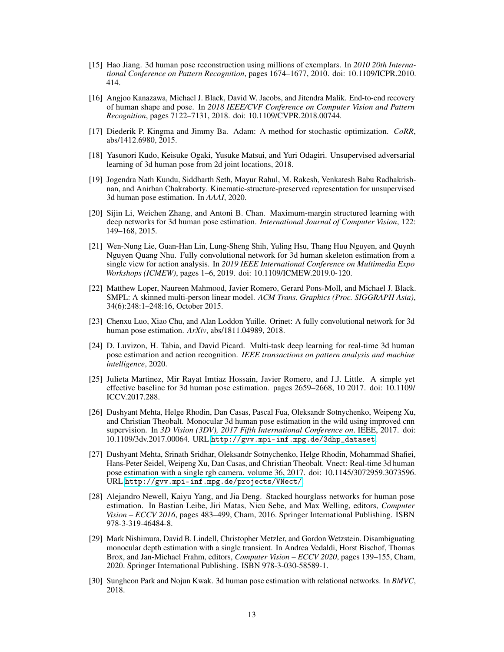- <span id="page-12-2"></span>[15] Hao Jiang. 3d human pose reconstruction using millions of exemplars. In *2010 20th International Conference on Pattern Recognition*, pages 1674–1677, 2010. doi: 10.1109/ICPR.2010. 414.
- <span id="page-12-14"></span>[16] Angjoo Kanazawa, Michael J. Black, David W. Jacobs, and Jitendra Malik. End-to-end recovery of human shape and pose. In *2018 IEEE/CVF Conference on Computer Vision and Pattern Recognition*, pages 7122–7131, 2018. doi: 10.1109/CVPR.2018.00744.
- <span id="page-12-13"></span>[17] Diederik P. Kingma and Jimmy Ba. Adam: A method for stochastic optimization. *CoRR*, abs/1412.6980, 2015.
- <span id="page-12-5"></span>[18] Yasunori Kudo, Keisuke Ogaki, Yusuke Matsui, and Yuri Odagiri. Unsupervised adversarial learning of 3d human pose from 2d joint locations, 2018.
- <span id="page-12-15"></span>[19] Jogendra Nath Kundu, Siddharth Seth, Mayur Rahul, M. Rakesh, Venkatesh Babu Radhakrishnan, and Anirban Chakraborty. Kinematic-structure-preserved representation for unsupervised 3d human pose estimation. In *AAAI*, 2020.
- <span id="page-12-8"></span>[20] Sijin Li, Weichen Zhang, and Antoni B. Chan. Maximum-margin structured learning with deep networks for 3d human pose estimation. *International Journal of Computer Vision*, 122: 149–168, 2015.
- <span id="page-12-6"></span>[21] Wen-Nung Lie, Guan-Han Lin, Lung-Sheng Shih, Yuling Hsu, Thang Huu Nguyen, and Quynh Nguyen Quang Nhu. Fully convolutional network for 3d human skeleton estimation from a single view for action analysis. In *2019 IEEE International Conference on Multimedia Expo Workshops (ICMEW)*, pages 1–6, 2019. doi: 10.1109/ICMEW.2019.0-120.
- <span id="page-12-11"></span>[22] Matthew Loper, Naureen Mahmood, Javier Romero, Gerard Pons-Moll, and Michael J. Black. SMPL: A skinned multi-person linear model. *ACM Trans. Graphics (Proc. SIGGRAPH Asia)*, 34(6):248:1–248:16, October 2015.
- <span id="page-12-4"></span>[23] Chenxu Luo, Xiao Chu, and Alan Loddon Yuille. Orinet: A fully convolutional network for 3d human pose estimation. *ArXiv*, abs/1811.04989, 2018.
- <span id="page-12-0"></span>[24] D. Luvizon, H. Tabia, and David Picard. Multi-task deep learning for real-time 3d human pose estimation and action recognition. *IEEE transactions on pattern analysis and machine intelligence*, 2020.
- <span id="page-12-1"></span>[25] Julieta Martinez, Mir Rayat Imtiaz Hossain, Javier Romero, and J.J. Little. A simple yet effective baseline for 3d human pose estimation. pages 2659–2668, 10 2017. doi: 10.1109/ ICCV.2017.288.
- <span id="page-12-7"></span>[26] Dushyant Mehta, Helge Rhodin, Dan Casas, Pascal Fua, Oleksandr Sotnychenko, Weipeng Xu, and Christian Theobalt. Monocular 3d human pose estimation in the wild using improved cnn supervision. In *3D Vision (3DV), 2017 Fifth International Conference on*. IEEE, 2017. doi: 10.1109/3dv.2017.00064. URL [http://gvv.mpi-inf.mpg.de/3dhp\\_dataset](http://gvv.mpi-inf.mpg.de/3dhp_dataset).
- <span id="page-12-3"></span>[27] Dushyant Mehta, Srinath Sridhar, Oleksandr Sotnychenko, Helge Rhodin, Mohammad Shafiei, Hans-Peter Seidel, Weipeng Xu, Dan Casas, and Christian Theobalt. Vnect: Real-time 3d human pose estimation with a single rgb camera. volume 36, 2017. doi: 10.1145/3072959.3073596. URL <http://gvv.mpi-inf.mpg.de/projects/VNect/>.
- <span id="page-12-9"></span>[28] Alejandro Newell, Kaiyu Yang, and Jia Deng. Stacked hourglass networks for human pose estimation. In Bastian Leibe, Jiri Matas, Nicu Sebe, and Max Welling, editors, *Computer Vision – ECCV 2016*, pages 483–499, Cham, 2016. Springer International Publishing. ISBN 978-3-319-46484-8.
- <span id="page-12-12"></span>[29] Mark Nishimura, David B. Lindell, Christopher Metzler, and Gordon Wetzstein. Disambiguating monocular depth estimation with a single transient. In Andrea Vedaldi, Horst Bischof, Thomas Brox, and Jan-Michael Frahm, editors, *Computer Vision – ECCV 2020*, pages 139–155, Cham, 2020. Springer International Publishing. ISBN 978-3-030-58589-1.
- <span id="page-12-10"></span>[30] Sungheon Park and Nojun Kwak. 3d human pose estimation with relational networks. In *BMVC*, 2018.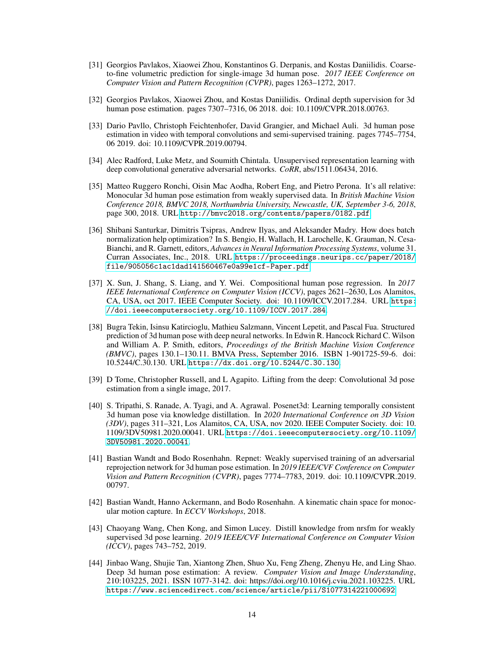- <span id="page-13-3"></span>[31] Georgios Pavlakos, Xiaowei Zhou, Konstantinos G. Derpanis, and Kostas Daniilidis. Coarseto-fine volumetric prediction for single-image 3d human pose. *2017 IEEE Conference on Computer Vision and Pattern Recognition (CVPR)*, pages 1263–1272, 2017.
- <span id="page-13-6"></span>[32] Georgios Pavlakos, Xiaowei Zhou, and Kostas Daniilidis. Ordinal depth supervision for 3d human pose estimation. pages 7307–7316, 06 2018. doi: 10.1109/CVPR.2018.00763.
- <span id="page-13-1"></span>[33] Dario Pavllo, Christoph Feichtenhofer, David Grangier, and Michael Auli. 3d human pose estimation in video with temporal convolutions and semi-supervised training. pages 7745–7754, 06 2019. doi: 10.1109/CVPR.2019.00794.
- <span id="page-13-11"></span>[34] Alec Radford, Luke Metz, and Soumith Chintala. Unsupervised representation learning with deep convolutional generative adversarial networks. *CoRR*, abs/1511.06434, 2016.
- <span id="page-13-7"></span>[35] Matteo Ruggero Ronchi, Oisin Mac Aodha, Robert Eng, and Pietro Perona. It's all relative: Monocular 3d human pose estimation from weakly supervised data. In *British Machine Vision Conference 2018, BMVC 2018, Northumbria University, Newcastle, UK, September 3-6, 2018*, page 300, 2018. URL <http://bmvc2018.org/contents/papers/0182.pdf>.
- <span id="page-13-12"></span>[36] Shibani Santurkar, Dimitris Tsipras, Andrew Ilyas, and Aleksander Madry. How does batch normalization help optimization? In S. Bengio, H. Wallach, H. Larochelle, K. Grauman, N. Cesa-Bianchi, and R. Garnett, editors, *Advances in Neural Information Processing Systems*, volume 31. Curran Associates, Inc., 2018. URL [https://proceedings.neurips.cc/paper/2018/](https://proceedings.neurips.cc/paper/2018/file/905056c1ac1dad141560467e0a99e1cf-Paper.pdf) [file/905056c1ac1dad141560467e0a99e1cf-Paper.pdf](https://proceedings.neurips.cc/paper/2018/file/905056c1ac1dad141560467e0a99e1cf-Paper.pdf).
- <span id="page-13-4"></span>[37] X. Sun, J. Shang, S. Liang, and Y. Wei. Compositional human pose regression. In *2017 IEEE International Conference on Computer Vision (ICCV)*, pages 2621–2630, Los Alamitos, CA, USA, oct 2017. IEEE Computer Society. doi: 10.1109/ICCV.2017.284. URL [https:](https://doi.ieeecomputersociety.org/10.1109/ICCV.2017.284) [//doi.ieeecomputersociety.org/10.1109/ICCV.2017.284](https://doi.ieeecomputersociety.org/10.1109/ICCV.2017.284).
- [38] Bugra Tekin, Isinsu Katircioglu, Mathieu Salzmann, Vincent Lepetit, and Pascal Fua. Structured prediction of 3d human pose with deep neural networks. In Edwin R. Hancock Richard C. Wilson and William A. P. Smith, editors, *Proceedings of the British Machine Vision Conference (BMVC)*, pages 130.1–130.11. BMVA Press, September 2016. ISBN 1-901725-59-6. doi: 10.5244/C.30.130. URL <https://dx.doi.org/10.5244/C.30.130>.
- <span id="page-13-5"></span>[39] D Tome, Christopher Russell, and L Agapito. Lifting from the deep: Convolutional 3d pose estimation from a single image, 2017.
- <span id="page-13-10"></span>[40] S. Tripathi, S. Ranade, A. Tyagi, and A. Agrawal. Posenet3d: Learning temporally consistent 3d human pose via knowledge distillation. In *2020 International Conference on 3D Vision (3DV)*, pages 311–321, Los Alamitos, CA, USA, nov 2020. IEEE Computer Society. doi: 10. 1109/3DV50981.2020.00041. URL [https://doi.ieeecomputersociety.org/10.1109/](https://doi.ieeecomputersociety.org/10.1109/3DV50981.2020.00041) [3DV50981.2020.00041](https://doi.ieeecomputersociety.org/10.1109/3DV50981.2020.00041).
- <span id="page-13-2"></span>[41] Bastian Wandt and Bodo Rosenhahn. Repnet: Weakly supervised training of an adversarial reprojection network for 3d human pose estimation. In *2019 IEEE/CVF Conference on Computer Vision and Pattern Recognition (CVPR)*, pages 7774–7783, 2019. doi: 10.1109/CVPR.2019. 00797.
- <span id="page-13-8"></span>[42] Bastian Wandt, Hanno Ackermann, and Bodo Rosenhahn. A kinematic chain space for monocular motion capture. In *ECCV Workshops*, 2018.
- <span id="page-13-9"></span>[43] Chaoyang Wang, Chen Kong, and Simon Lucey. Distill knowledge from nrsfm for weakly supervised 3d pose learning. *2019 IEEE/CVF International Conference on Computer Vision (ICCV)*, pages 743–752, 2019.
- <span id="page-13-0"></span>[44] Jinbao Wang, Shujie Tan, Xiantong Zhen, Shuo Xu, Feng Zheng, Zhenyu He, and Ling Shao. Deep 3d human pose estimation: A review. *Computer Vision and Image Understanding*, 210:103225, 2021. ISSN 1077-3142. doi: https://doi.org/10.1016/j.cviu.2021.103225. URL <https://www.sciencedirect.com/science/article/pii/S1077314221000692>.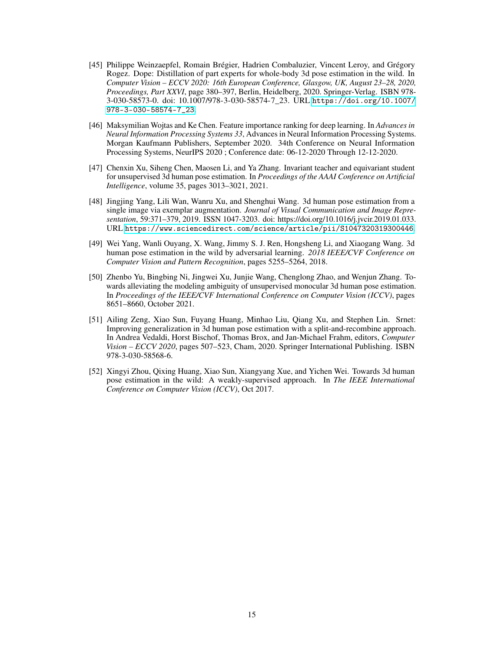- <span id="page-14-5"></span>[45] Philippe Weinzaepfel, Romain Brégier, Hadrien Combaluzier, Vincent Leroy, and Grégory Rogez. Dope: Distillation of part experts for whole-body 3d pose estimation in the wild. In *Computer Vision – ECCV 2020: 16th European Conference, Glasgow, UK, August 23–28, 2020, Proceedings, Part XXVI*, page 380–397, Berlin, Heidelberg, 2020. Springer-Verlag. ISBN 978- 3-030-58573-0. doi: 10.1007/978-3-030-58574-7\_23. URL [https://doi.org/10.1007/](https://doi.org/10.1007/978-3-030-58574-7_23) [978-3-030-58574-7\\_23](https://doi.org/10.1007/978-3-030-58574-7_23).
- <span id="page-14-7"></span>[46] Maksymilian Wojtas and Ke Chen. Feature importance ranking for deep learning. In *Advances in Neural Information Processing Systems 33*, Advances in Neural Information Processing Systems. Morgan Kaufmann Publishers, September 2020. 34th Conference on Neural Information Processing Systems, NeurIPS 2020 ; Conference date: 06-12-2020 Through 12-12-2020.
- <span id="page-14-6"></span>[47] Chenxin Xu, Siheng Chen, Maosen Li, and Ya Zhang. Invariant teacher and equivariant student for unsupervised 3d human pose estimation. In *Proceedings of the AAAI Conference on Artificial Intelligence*, volume 35, pages 3013–3021, 2021.
- <span id="page-14-0"></span>[48] Jingjing Yang, Lili Wan, Wanru Xu, and Shenghui Wang. 3d human pose estimation from a single image via exemplar augmentation. *Journal of Visual Communication and Image Representation*, 59:371–379, 2019. ISSN 1047-3203. doi: https://doi.org/10.1016/j.jvcir.2019.01.033. URL <https://www.sciencedirect.com/science/article/pii/S1047320319300446>.
- <span id="page-14-3"></span>[49] Wei Yang, Wanli Ouyang, X. Wang, Jimmy S. J. Ren, Hongsheng Li, and Xiaogang Wang. 3d human pose estimation in the wild by adversarial learning. *2018 IEEE/CVF Conference on Computer Vision and Pattern Recognition*, pages 5255–5264, 2018.
- <span id="page-14-2"></span>[50] Zhenbo Yu, Bingbing Ni, Jingwei Xu, Junjie Wang, Chenglong Zhao, and Wenjun Zhang. Towards alleviating the modeling ambiguity of unsupervised monocular 3d human pose estimation. In *Proceedings of the IEEE/CVF International Conference on Computer Vision (ICCV)*, pages 8651–8660, October 2021.
- <span id="page-14-1"></span>[51] Ailing Zeng, Xiao Sun, Fuyang Huang, Minhao Liu, Qiang Xu, and Stephen Lin. Srnet: Improving generalization in 3d human pose estimation with a split-and-recombine approach. In Andrea Vedaldi, Horst Bischof, Thomas Brox, and Jan-Michael Frahm, editors, *Computer Vision – ECCV 2020*, pages 507–523, Cham, 2020. Springer International Publishing. ISBN 978-3-030-58568-6.
- <span id="page-14-4"></span>[52] Xingyi Zhou, Qixing Huang, Xiao Sun, Xiangyang Xue, and Yichen Wei. Towards 3d human pose estimation in the wild: A weakly-supervised approach. In *The IEEE International Conference on Computer Vision (ICCV)*, Oct 2017.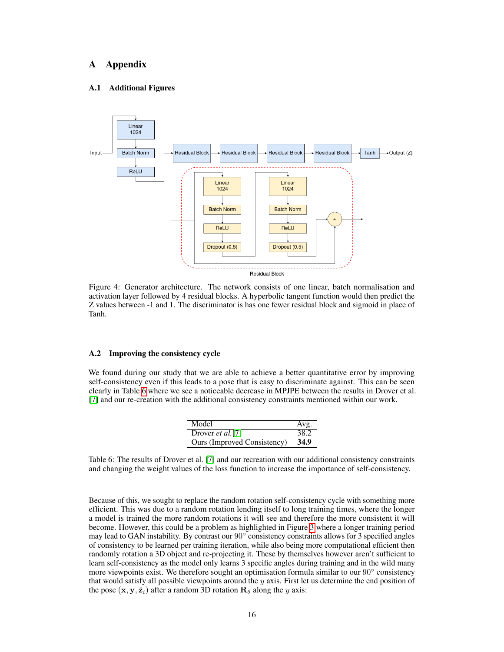# A Appendix

### <span id="page-15-0"></span>A.1 Additional Figures



Figure 4: Generator architecture. The network consists of one linear, batch normalisation and activation layer followed by 4 residual blocks. A hyperbolic tangent function would then predict the Z values between -1 and 1. The discriminator is has one fewer residual block and sigmoid in place of Tanh.

#### <span id="page-15-1"></span>A.2 Improving the consistency cycle

We found during our study that we are able to achieve a better quantitative error by improving self-consistency even if this leads to a pose that is easy to discriminate against. This can be seen clearly in Table [6](#page-15-2) where we see a noticeable decrease in MPJPE between the results in Drover et al. [\[7\]](#page-11-6) and our re-creation with the additional consistency constraints mentioned within our work.

| Model                       | Avg. |
|-----------------------------|------|
| Drover $et al. [7]$         | 38.2 |
| Ours (Improved Consistency) | 34.9 |

<span id="page-15-2"></span>Table 6: The results of Drover et al. [\[7\]](#page-11-6) and our recreation with our additional consistency constraints and changing the weight values of the loss function to increase the importance of self-consistency.

Because of this, we sought to replace the random rotation self-consistency cycle with something more efficient. This was due to a random rotation lending itself to long training times, where the longer a model is trained the more random rotations it will see and therefore the more consistent it will become. However, this could be a problem as highlighted in Figure [3](#page-8-0) where a longer training period may lead to GAN instability. By contrast our 90° consistency constraints allows for 3 specified angles of consistency to be learned per training iteration, while also being more computational efficient then randomly rotation a 3D object and re-projecting it. These by themselves however aren't sufficient to learn self-consistency as the model only learns 3 specific angles during training and in the wild many more viewpoints exist. We therefore sought an optimisation formula similar to our 90° consistency that would satisfy all possible viewpoints around the  $y$  axis. First let us determine the end position of the pose  $(x, y, \hat{z}_i)$  after a random 3D rotation  $\mathbf{R}_{\theta}$  along the y axis: